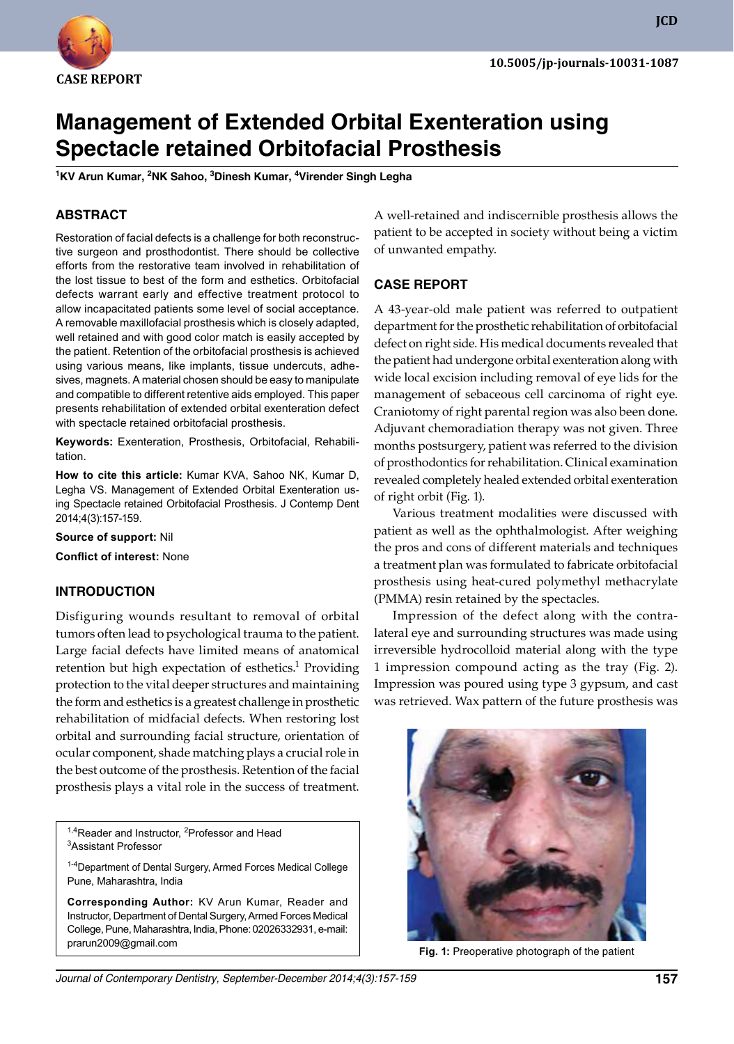

**JCD**

# **Management of Extended Orbital Exenteration using Spectacle retained Orbitofacial Prosthesis**

**<sup>1</sup>Kv Arun Kumar, 2NK Sahoo, 3Dinesh Kumar, 4virender Singh Legha**

## **ABSTRACT**

Restoration of facial defects is a challenge for both reconstructive surgeon and prosthodontist. There should be collective efforts from the restorative team involved in rehabilitation of the lost tissue to best of the form and esthetics. Orbitofacial defects warrant early and effective treatment protocol to allow incapacitated patients some level of social acceptance. A removable maxillofacial prosthesis which is closely adapted, well retained and with good color match is easily accepted by the patient. Retention of the orbitofacial prosthesis is achieved using various means, like implants, tissue undercuts, adhesives, magnets. A material chosen should be easy to manipulate and compatible to different retentive aids employed. This paper presents rehabilitation of extended orbital exenteration defect with spectacle retained orbitofacial prosthesis.

**Keywords:** Exenteration, Prosthesis, Orbitofacial, Rehabilitation.

**How to cite this article:** Kumar KVA, Sahoo NK, Kumar D, Legha VS. Management of Extended Orbital Exenteration using Spectacle retained Orbitofacial Prosthesis. J Contemp Dent 2014;4(3):157-159.

**Source of support:** Nil

**Conflict of interest:** None

## **INTRODuCTION**

Disfiguring wounds resultant to removal of orbital tumors often lead to psychological trauma to the patient. Large facial defects have limited means of anatomical retention but high expectation of esthetics.<sup>1</sup> Providing protection to the vital deeper structures and maintaining the form and esthetics is a greatest challenge in prosthetic rehabilitation of midfacial defects. When restoring lost orbital and surrounding facial structure, orientation of ocular component, shade matching plays a crucial role in the best outcome of the prosthesis. Retention of the facial prosthesis plays a vital role in the success of treatment.

<sup>1,4</sup>Reader and Instructor, <sup>2</sup>Professor and Head <sup>3</sup>Assistant Professor

<sup>1-4</sup>Department of Dental Surgery, Armed Forces Medical College Pune, Maharashtra, india

**Corresponding Author:** KV Arun Kumar, Reader and ins tructor, Department of Dental Surgery, Armed Forces Medical College, Pune, Maharashtra, india, Phone: 02026332931, email: prarun2009@gmail.com

A well-retained and indiscernible prosthesis allows the patient to be accepted in society without being a victim of unwanted empathy.

#### **CASE REPORT**

A 43-year-old male patient was referred to outpatient department for the prosthetic rehabilitation of orbitofacial defect on right side. His medical documents revealed that the patient had undergone orbital exenteration along with wide local excision including removal of eye lids for the management of sebaceous cell carcinoma of right eye. Craniotomy of right parental region was also been done. Adjuvant chemoradiation therapy was not given. Three months postsurgery, patient was referred to the division of prosthodontics for rehabilitation. Clinical examination revealed completely healed extended orbital exenteration of right orbit (Fig. 1).

 Various treatment modalities were discussed with patient as well as the ophthalmologist. After weighing the pros and cons of different materials and techniques a treatment plan was formulated to fabricate orbitofacial prosthesis using heat-cured polymethyl methacrylate (PMMA) resin retained by the spectacles.

 Impression of the defect along with the contralateral eye and surrounding structures was made using irreversible hydrocolloid material along with the type 1 impression compound acting as the tray (Fig. 2). Impression was poured using type 3 gypsum, and cast was retrieved. Wax pattern of the future prosthesis was



**Fig. 1:** Preoperative photograph of the patient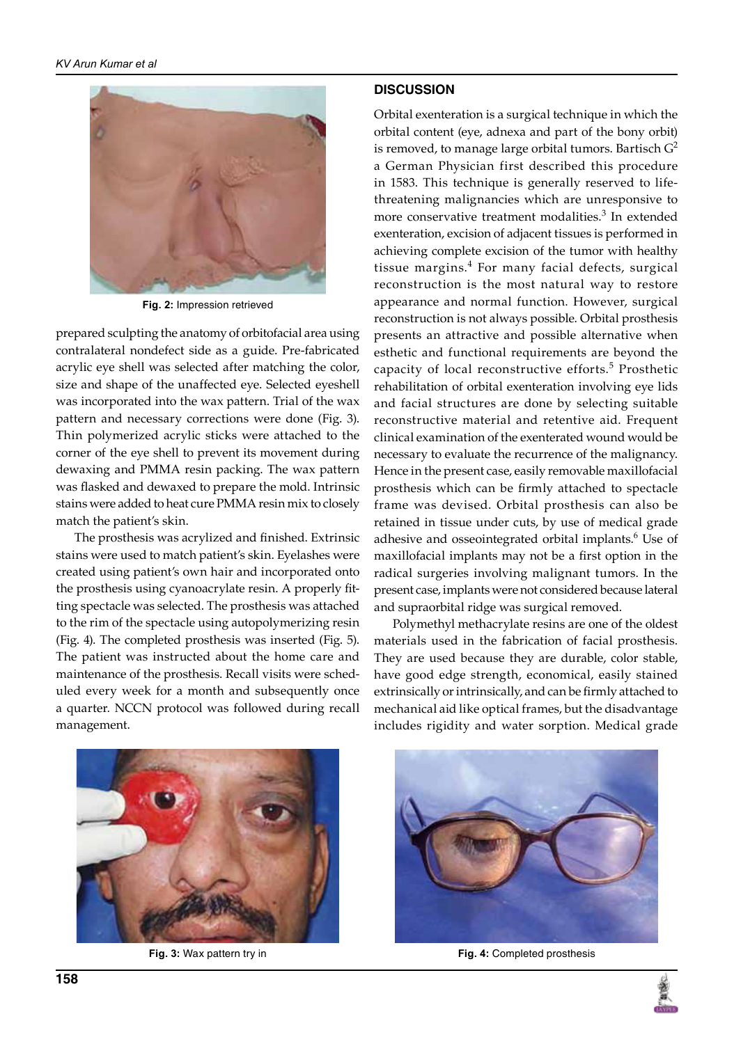

**Fig. 2:** Impression retrieved

prepared sculpting the anatomy of orbitofacial area using contralateral nondefect side as a guide. Pre-fabricated acrylic eye shell was selected after matching the color, size and shape of the unaffected eye. Selected eyeshell was incorporated into the wax pattern. Trial of the wax pattern and necessary corrections were done (Fig. 3). Thin polymerized acrylic sticks were attached to the corner of the eye shell to prevent its movement during dewaxing and PMMA resin packing. The wax pattern was flasked and dewaxed to prepare the mold. Intrinsic stains were added to heat cure PMMA resin mix to closely match the patient's skin.

 The prosthesis was acrylized and finished. Extrinsic stains were used to match patient's skin. Eyelashes were created using patient's own hair and incorporated onto the prosthesis using cyanoacrylate resin. A properly fitting spectacle was selected. The prosthesis was attached to the rim of the spectacle using autopolymerizing resin (Fig. 4). The completed prosthesis was inserted (Fig. 5). The patient was instructed about the home care and maintenance of the prosthesis. Recall visits were scheduled every week for a month and subsequently once a quarter. NCCN protocol was followed during recall management.

#### **DISCuSSION**

Orbital exenteration is a surgical technique in which the orbital content (eye, adnexa and part of the bony orbit) is removed, to manage large orbital tumors. Bartisch  $G^2$ a German Physician first described this procedure in 1583. This technique is generally reserved to lifethreatening malignancies which are unresponsive to more conservative treatment modalities.<sup>3</sup> In extended exenteration, excision of adjacent tissues is performed in achieving complete excision of the tumor with healthy tissue margins.<sup>4</sup> For many facial defects, surgical reconstruction is the most natural way to restore appearance and normal function. However, surgical reconstruction is not always possible. Orbital prosthesis presents an attractive and possible alternative when esthetic and functional requirements are beyond the capacity of local reconstructive efforts.<sup>5</sup> Prosthetic rehabilitation of orbital exenteration involving eye lids and facial structures are done by selecting suitable reconstructive material and retentive aid. Frequent clinical examination of the exenterated wound would be necessary to evaluate the recurrence of the malignancy. Hence in the present case, easily removable maxillofacial prosthesis which can be firmly attached to spectacle frame was devised. Orbital prosthesis can also be retained in tissue under cuts, by use of medical grade adhesive and osseointegrated orbital implants.<sup>6</sup> Use of maxillofacial implants may not be a first option in the radical surgeries involving malignant tumors. In the present case, implants were not considered because lateral and supraorbital ridge was surgical removed.

 Polymethyl methacrylate resins are one of the oldest materials used in the fabrication of facial prosthesis. They are used because they are durable, color stable, have good edge strength, economical, easily stained extrinsically or intrinsically, and can be firmly attached to mechanical aid like optical frames, but the disadvantage includes rigidity and water sorption. Medical grade





**Fig. 3:** Wax pattern try in **Fig. 4:** Completed prosthesis